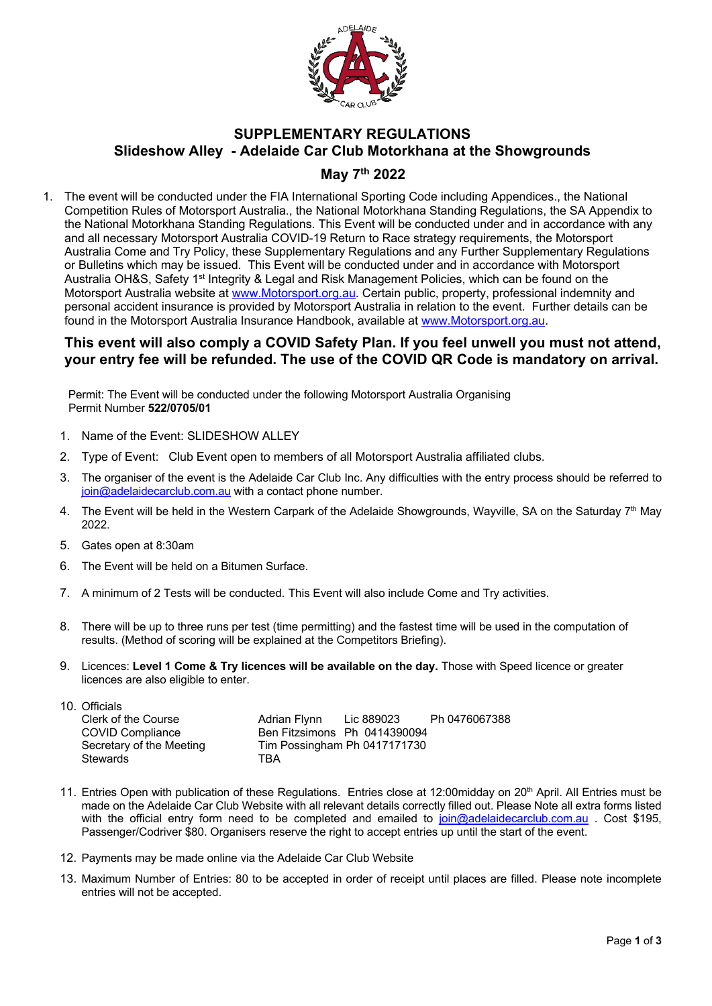

## **SUPPLEMENTARY REGULATIONS Slideshow Alley - Adelaide Car Club Motorkhana at the Showgrounds**

## **May 7th 2022**

1. The event will be conducted under the FIA International Sporting Code including Appendices., the National Competition Rules of Motorsport Australia., the National Motorkhana Standing Regulations, the SA Appendix to the National Motorkhana Standing Regulations. This Event will be conducted under and in accordance with any and all necessary Motorsport Australia COVID-19 Return to Race strategy requirements, the Motorsport Australia Come and Try Policy, these Supplementary Regulations and any Further Supplementary Regulations or Bulletins which may be issued. This Event will be conducted under and in accordance with Motorsport Australia OH&S, Safety 1<sup>st</sup> Integrity & Legal and Risk Management Policies, which can be found on the Motorsport Australia website at www.Motorsport.org.au. Certain public, property, professional indemnity and personal accident insurance is provided by Motorsport Australia in relation to the event. Further details can be found in the Motorsport Australia Insurance Handbook, available at www.Motorsport.org.au.

## **This event will also comply a COVID Safety Plan. If you feel unwell you must not attend, your entry fee will be refunded. The use of the COVID QR Code is mandatory on arrival.**

 Permit: The Event will be conducted under the following Motorsport Australia Organising Permit Number **522/0705/01**

- 1. Name of the Event: SLIDESHOW ALLEY
- 2. Type of Event: Club Event open to members of all Motorsport Australia affiliated clubs.
- 3. The organiser of the event is the Adelaide Car Club Inc. Any difficulties with the entry process should be referred to join@adelaidecarclub.com.au with a contact phone number.
- 4. The Event will be held in the Western Carpark of the Adelaide Showgrounds, Wayville, SA on the Saturday 7<sup>th</sup> May 2022.
- 5. Gates open at 8:30am
- 6. The Event will be held on a Bitumen Surface.
- 7. A minimum of 2 Tests will be conducted. This Event will also include Come and Try activities.
- 8. There will be up to three runs per test (time permitting) and the fastest time will be used in the computation of results. (Method of scoring will be explained at the Competitors Briefing).
- 9. Licences: **Level 1 Come & Try licences will be available on the day.** Those with Speed licence or greater licences are also eligible to enter.

| 10. Officials            |                              |                              |               |
|--------------------------|------------------------------|------------------------------|---------------|
| Clerk of the Course      | Adrian Flynn                 | Lic 889023                   | Ph 0476067388 |
| <b>COVID Compliance</b>  | Ben Fitzsimons Ph 0414390094 |                              |               |
| Secretary of the Meeting |                              | Tim Possingham Ph 0417171730 |               |
| <b>Stewards</b>          | TRA                          |                              |               |

- 11. Entries Open with publication of these Regulations. Entries close at 12:00midday on 20<sup>th</sup> April. All Entries must be made on the Adelaide Car Club Website with all relevant details correctly filled out. Please Note all extra forms listed with the official entry form need to be completed and emailed to join@adelaidecarclub.com.au. Cost \$195, Passenger/Codriver \$80. Organisers reserve the right to accept entries up until the start of the event.
- 12. Payments may be made online via the Adelaide Car Club Website
- 13. Maximum Number of Entries: 80 to be accepted in order of receipt until places are filled. Please note incomplete entries will not be accepted.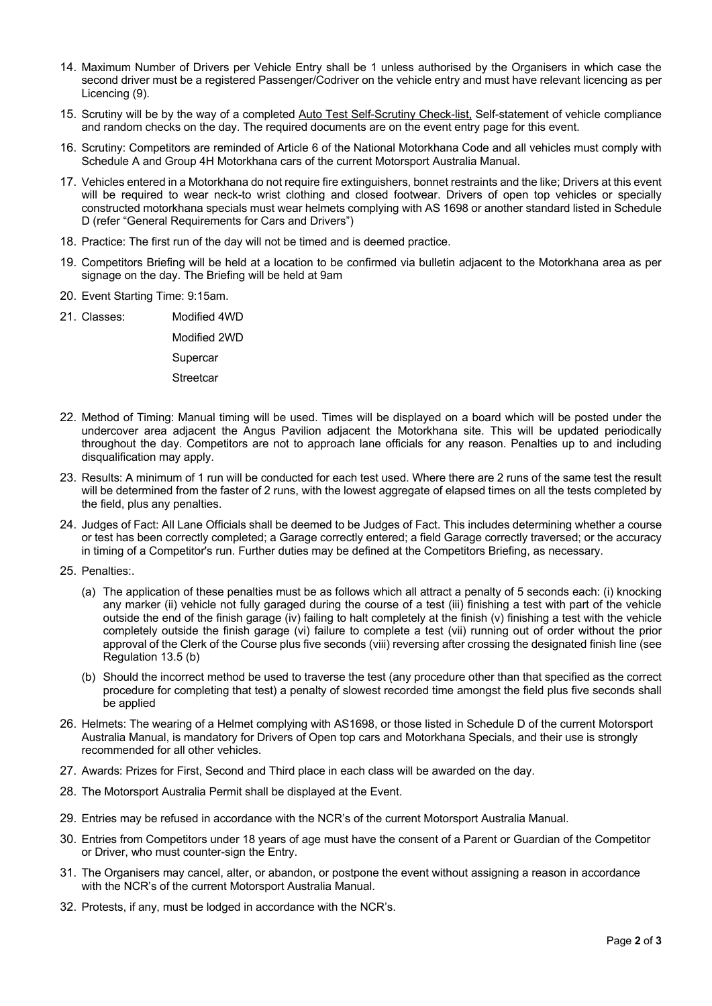- 14. Maximum Number of Drivers per Vehicle Entry shall be 1 unless authorised by the Organisers in which case the second driver must be a registered Passenger/Codriver on the vehicle entry and must have relevant licencing as per Licencing (9).
- 15. Scrutiny will be by the way of a completed Auto Test Self-Scrutiny Check-list, Self-statement of vehicle compliance and random checks on the day. The required documents are on the event entry page for this event.
- 16. Scrutiny: Competitors are reminded of Article 6 of the National Motorkhana Code and all vehicles must comply with Schedule A and Group 4H Motorkhana cars of the current Motorsport Australia Manual.
- 17. Vehicles entered in a Motorkhana do not require fire extinguishers, bonnet restraints and the like; Drivers at this event will be required to wear neck-to wrist clothing and closed footwear. Drivers of open top vehicles or specially constructed motorkhana specials must wear helmets complying with AS 1698 or another standard listed in Schedule D (refer "General Requirements for Cars and Drivers")
- 18. Practice: The first run of the day will not be timed and is deemed practice.
- 19. Competitors Briefing will be held at a location to be confirmed via bulletin adjacent to the Motorkhana area as per signage on the day. The Briefing will be held at 9am
- 20. Event Starting Time: 9:15am.
- 21. Classes: Modified 4WD Modified 2WD **Supercar Streetcar**
- 22. Method of Timing: Manual timing will be used. Times will be displayed on a board which will be posted under the undercover area adjacent the Angus Pavilion adjacent the Motorkhana site. This will be updated periodically throughout the day. Competitors are not to approach lane officials for any reason. Penalties up to and including disqualification may apply.
- 23. Results: A minimum of 1 run will be conducted for each test used. Where there are 2 runs of the same test the result will be determined from the faster of 2 runs, with the lowest aggregate of elapsed times on all the tests completed by the field, plus any penalties.
- 24. Judges of Fact: All Lane Officials shall be deemed to be Judges of Fact. This includes determining whether a course or test has been correctly completed; a Garage correctly entered; a field Garage correctly traversed; or the accuracy in timing of a Competitor's run. Further duties may be defined at the Competitors Briefing, as necessary.
- 25. Penalties:
	- (a) The application of these penalties must be as follows which all attract a penalty of 5 seconds each: (i) knocking any marker (ii) vehicle not fully garaged during the course of a test (iii) finishing a test with part of the vehicle outside the end of the finish garage (iv) failing to halt completely at the finish (v) finishing a test with the vehicle completely outside the finish garage (vi) failure to complete a test (vii) running out of order without the prior approval of the Clerk of the Course plus five seconds (viii) reversing after crossing the designated finish line (see Regulation 13.5 (b)
	- (b) Should the incorrect method be used to traverse the test (any procedure other than that specified as the correct procedure for completing that test) a penalty of slowest recorded time amongst the field plus five seconds shall be applied
- 26. Helmets: The wearing of a Helmet complying with AS1698, or those listed in Schedule D of the current Motorsport Australia Manual, is mandatory for Drivers of Open top cars and Motorkhana Specials, and their use is strongly recommended for all other vehicles.
- 27. Awards: Prizes for First, Second and Third place in each class will be awarded on the day.
- 28. The Motorsport Australia Permit shall be displayed at the Event.
- 29. Entries may be refused in accordance with the NCR's of the current Motorsport Australia Manual.
- 30. Entries from Competitors under 18 years of age must have the consent of a Parent or Guardian of the Competitor or Driver, who must counter-sign the Entry.
- 31. The Organisers may cancel, alter, or abandon, or postpone the event without assigning a reason in accordance with the NCR's of the current Motorsport Australia Manual.
- 32. Protests, if any, must be lodged in accordance with the NCR's.